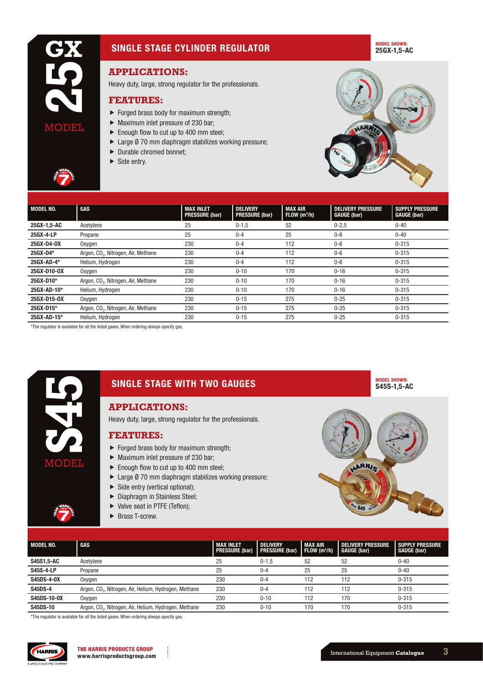# SINGLE STAGE CYLINDER REGULATOR

#### MODEL SHOWN: 25GX-1,5-AC

# **APPLICATIONS:**

Heavy duty, large, strong regulator for the professionals.

#### **FEATURES:**

- $\blacktriangleright$  Forged brass body for maximum strength;
- $\blacktriangleright$  Maximum inlet pressure of 230 bar;
- $\blacktriangleright$  Enough flow to cut up to 400 mm steel;
- $\blacktriangleright$  Large Ø 70 mm diaphragm stabilizes working pressure;
- $\blacktriangleright$  Durable chromed bonnet;
- $\blacktriangleright$  Side entry.



| <b>MODEL NO.</b> | GAS                                             | <b>MAX INLET</b>      | <b>DELIVERY</b>       | MAX AIR                 | <b>DELIVERY PRESSURE</b> | <b>SUPPLY PRESSURE</b> |
|------------------|-------------------------------------------------|-----------------------|-----------------------|-------------------------|--------------------------|------------------------|
|                  |                                                 | <b>PRESSURE (bar)</b> | <b>PRESSURE (bar)</b> | FLOW(m <sup>3</sup> /h) | <b>GAUGE (bar)</b>       | <b>GAUGE (bar)</b>     |
| 25GX-1,5-AC      | Acetylene                                       | 25                    | $0 - 1.5$             | 52                      | $0 - 2.5$                | $0 - 40$               |
| 25GX-4-LP        | Propane                                         | 25                    | $0 - 4$               | 25                      | $0-6$                    | $0 - 40$               |
| 25GX-D4-0X       | Oxygen                                          | 230                   | $0 - 4$               | 112                     | $0-6$                    | $0 - 315$              |
| 25GX-D4*         | Argon, CO <sub>2</sub> , Nitrogen, Air, Methane | 230                   | $0 - 4$               | 112                     | $0-6$                    | $0 - 315$              |
| 25GX-AD-4*       | Helium, Hydrogen                                | 230                   | $0 - 4$               | 112                     | $0-6$                    | $0 - 315$              |
| 25GX-D10-0X      | Oxygen                                          | 230                   | $0 - 10$              | 170                     | $0 - 16$                 | $0 - 315$              |
| 25GX-D10*        | Argon, CO <sub>2</sub> , Nitrogen, Air, Methane | 230                   | $0 - 10$              | 170                     | $0 - 16$                 | $0 - 315$              |
| 25GX-AD-10*      | Helium, Hydrogen                                | 230                   | $0 - 10$              | 170                     | $0 - 16$                 | $0 - 315$              |
| 25GX-D15-0X      | Oxygen                                          | 230                   | $0 - 15$              | 275                     | $0 - 25$                 | $0 - 315$              |
| 25GX-D15*        | Argon, CO <sub>2</sub> , Nitrogen, Air, Methane | 230                   | $0 - 15$              | 275                     | $0 - 25$                 | $0 - 315$              |
| 25GX-AD-15*      | Helium, Hydrogen                                | 230                   | $0 - 15$              | 275                     | $0 - 25$                 | $0 - 315$              |

\*The regulator is available for all the listed gases. When ordering always specify gas.



# **APPLICATIONS:**

Heavy duty, large, strong regulator for the professionals.

#### **FEATURES:**

- $\blacktriangleright$  Forged brass body for maximum strength;
- $\blacktriangleright$  Maximum inlet pressure of 230 bar;
- $\blacktriangleright$  Enough flow to cut up to 400 mm steel;
- $\blacktriangleright$  Large Ø 70 mm diaphragm stabilizes working pressure;
- $\triangleright$  Side entry (vertical optional);
- $\blacktriangleright$  Diaphragm in Stainless Steel;
- $\blacktriangleright$  Valve seat in PTFE (Teflon);
- $\blacktriangleright$  Brass T-screw.



| <b>MODEL NO.</b>  | GAS                                                               | <b>MAX INLET</b><br><b>PRESSURE (bar)</b> | <b>DELIVERY</b><br><b>PRESSURE (bar)</b> | MAX AIR<br>$\vert$ FLOW (m <sup>3</sup> /h) | <b>DELIVERY PRESSURE</b><br><b>GAUGE (bar)</b> | <b>SUPPLY PRESSURE</b><br><b>GAUGE (bar)</b> |
|-------------------|-------------------------------------------------------------------|-------------------------------------------|------------------------------------------|---------------------------------------------|------------------------------------------------|----------------------------------------------|
| S45S1,5-AC        | Acetvlene                                                         | 25                                        | $0 - 1.5$                                | 52                                          | 52                                             | $0 - 40$                                     |
| <b>S45S-4-LP</b>  | Propane                                                           | 25                                        | $0 - 4$                                  | 25                                          | 25                                             | $0 - 40$                                     |
| <b>S45DS-4-0X</b> | Oxygen                                                            | 230                                       | $0 - 4$                                  | 112                                         | 112                                            | $0 - 315$                                    |
| <b>S45DS-4</b>    | Argon, CO <sub>2</sub> , Nitrogen, Air, Helium, Hydrogen, Methane | 230                                       | $0 - 4$                                  | 112                                         | 112                                            | $0 - 315$                                    |
| S45DS-10-0X       | Oxygen                                                            | 230                                       | $0 - 10$                                 | 112                                         | 170                                            | $0 - 315$                                    |
| <b>S45DS-10</b>   | Argon, CO <sub>2</sub> , Nitrogen, Air, Helium, Hydrogen, Methane | 230                                       | $0 - 10$                                 | 170                                         | 170                                            | $0 - 315$                                    |

\*The regulator is available for all the listed gases. When ordering always specify gas.



MODEL SHOWN: S45S-1,5-AC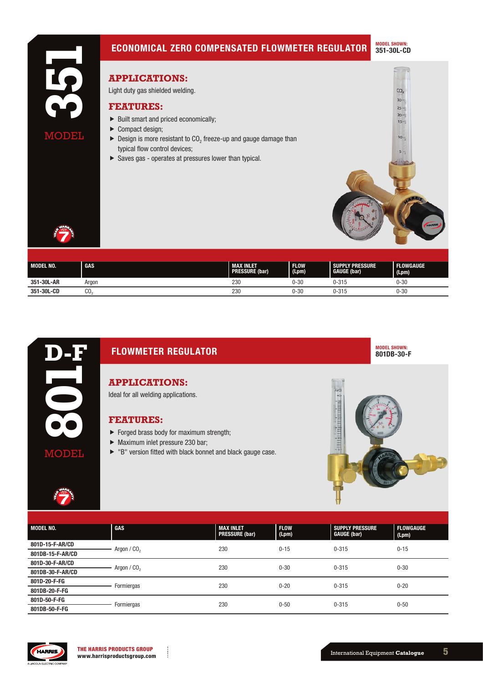

| <b>MODEL NO.</b> | <b>GAS</b> | <b>MAX INLET</b><br><b>PRESSURE (bar)</b> | <b>FLOW</b><br>(Lpm) | <b>SUPPLY PRESSURE</b><br><b>GAUGE (bar)</b> | <b>FLOWGAUGE</b><br>(Lpm) |
|------------------|------------|-------------------------------------------|----------------------|----------------------------------------------|---------------------------|
| 351-30L-AR       | Araon      | 230                                       | 0-30                 | 0-315                                        | $0 - 30$                  |
| 351-30L-CD       | CO         | 230                                       | 0-30                 | $0 - 315$                                    | $0 - 30$                  |



# FLOWMETER REGULATOR

**APPLICATIONS:**

Ideal for all welding applications.

## **FEATURES:**

- $\blacktriangleright$  Forged brass body for maximum strength;
- $\blacktriangleright$  Maximum inlet pressure 230 bar;
- $\blacktriangleright$  "B" version fitted with black bonnet and black gauge case.



MODEL SHOWN: 801DB-30-F

| MODEL NO.        | GAS                     | <b>MAX INLET</b><br><b>PRESSURE (bar)</b> | <b>FLOW</b><br>(Lpm) | <b>SUPPLY PRESSURE</b><br><b>GAUGE (bar)</b> | <b>FLOWGAUGE</b><br>(Lpm) |
|------------------|-------------------------|-------------------------------------------|----------------------|----------------------------------------------|---------------------------|
| 801D-15-F-AR/CD  | Argon / CO <sub>2</sub> | 230                                       | $0 - 15$             | $0 - 315$                                    | $0 - 15$                  |
| 801DB-15-F-AR/CD |                         |                                           |                      |                                              |                           |
| 801D-30-F-AR/CD  | Argon / $CO2$           | 230                                       | $0 - 30$             | $0 - 315$                                    | $0 - 30$                  |
| 801DB-30-F-AR/CD |                         |                                           |                      |                                              |                           |
| 801D-20-F-FG     | Formiergas              | 230                                       | $0 - 20$             | $0 - 315$                                    | $0 - 20$                  |
| 801DB-20-F-FG    |                         |                                           |                      |                                              |                           |
| 801D-50-F-FG     |                         | 230                                       | $0 - 50$             | $0 - 315$                                    | $0 - 50$                  |
| 801DB-50-F-FG    | Formiergas              |                                           |                      |                                              |                           |